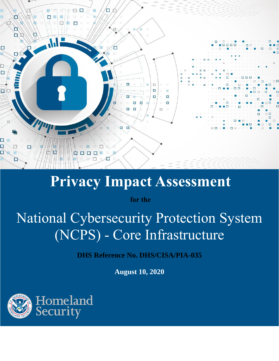

# **Privacy Impact Assessment**

**for the**

# National Cybersecurity Protection System (NCPS) - Core Infrastructure

**DHS Reference No. DHS/CISA/PIA-035**

**August 10, 2020**

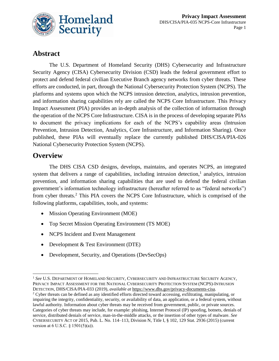

# **Abstract**

The U.S. Department of Homeland Security (DHS) Cybersecurity and Infrastructure Security Agency (CISA) Cybersecurity Division (CSD) leads the federal government effort to protect and defend federal civilian Executive Branch agency networks from cyber threats. These efforts are conducted, in part, through the National Cybersecurity Protection System (NCPS). The platforms and systems upon which the NCPS intrusion detection, analytics, intrusion prevention, and information sharing capabilities rely are called the NCPS Core Infrastructure. This Privacy Impact Assessment (PIA) provides an in-depth analysis of the collection of information through the operation of the NCPS Core Infrastructure. CISA is in the process of developing separate PIAs to document the privacy implications for each of the NCPS's capability areas (Intrusion Prevention, Intrusion Detection, Analytics, Core Infrastructure, and Information Sharing). Once published, these PIAs will eventually replace the currently published DHS/CISA/PIA-026 National Cybersecurity Protection System (NCPS).

#### **Overview**

 $\overline{a}$ 

The DHS CISA CSD designs, develops, maintains, and operates NCPS, an integrated system that delivers a range of capabilities, including intrusion detection, $<sup>1</sup>$  analytics, intrusion</sup> prevention, and information sharing capabilities that are used to defend the federal civilian government's information technology infrastructure (hereafter referred to as "federal networks") from cyber threats.<sup>2</sup> This PIA covers the NCPS Core Infrastructure, which is comprised of the following platforms, capabilities, tools, and systems:

- Mission Operating Environment (MOE)
- Top Secret Mission Operating Environment (TS MOE)
- NCPS Incident and Event Management
- Development & Test Environment (DTE)
- Development, Security, and Operations (DevSecOps)

<sup>1</sup> *See* U.S. DEPARTMENT OF HOMELAND SECURITY, CYBERSECURITY AND INFRASTRUCTURE SECURITY AGENCY, PRIVACY IMPACT ASSESSMENT FOR THE NATIONAL CYBERSECURITY PROTECTION SYSTEM (NCPS)-INTRUSION DETECTION, DHS/CISA/PIA-033 (2019), *available at* [https://www.dhs.gov/privacy-documents-cisa.](https://www.dhs.gov/privacy-documents-cisa)

<sup>&</sup>lt;sup>2</sup> Cyber threats can be defined as any identified efforts directed toward accessing, exfiltrating, manipulating, or impairing the integrity, confidentiality, security, or availability of data, an application, or a federal system, without lawful authority. Information about cyber threats may be received from government, public, or private sources. Categories of cyber threats may include, for example: phishing, Internet Protocol (IP) spoofing, botnets, denials of service, distributed denials of service, man-in-the-middle attacks, or the insertion of other types of malware. *See* CYBERSECURITY ACT OF 2015, Pub. L. No. 114–113, Division N, Title I, § 102, 129 Stat. 2936 (2015) (current version at 6 U.S.C. § 1501(5)(a)).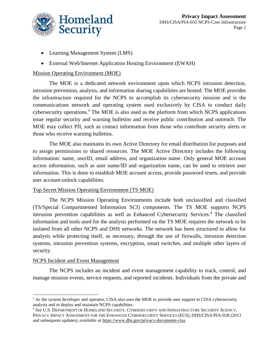

- Learning Management System (LMS)
- External Web/Internet Application Hosting Environment (EWAH)

#### Mission Operating Environment (MOE)

The MOE is a dedicated network environment upon which NCPS intrusion detection, intrusion prevention, analysis, and information sharing capabilities are hosted. The MOE provides the infrastructure required for the NCPS to accomplish its cybersecurity mission and is the communications network and operating system used exclusively by CISA to conduct daily cybersecurity operations.<sup>3</sup> The MOE is also used as the platform from which NCPS applications issue regular security and warning bulletins and receive public contribution and outreach. The MOE may collect PII, such as contact information from those who contribute security alerts or those who receive warning bulletins.

The MOE also maintains its own Active Directory for email distribution list purposes and to assign permissions to shared resources. The MOE Active Directory includes the following information: name, userID, email address, and organization name. Only general MOE account access information, such as user name/ID and organization name, can be used to retrieve user information. This is done to establish MOE account access, provide password resets, and provide user account-unlock capabilities.

#### Top Secret Mission Operating Environment (TS MOE)

The NCPS Mission Operating Environments include both unclassified and classified (TS/Special Compartmented Information SCI) components. The TS MOE supports NCPS intrusion prevention capabilities as well as Enhanced Cybersecurity Services. <sup>4</sup> The classified information and tools used for the analysis performed on the TS MOE requires the network to be isolated from all other NCPS and DHS networks. The network has been structured to allow for analysis while protecting itself, as necessary, through the use of firewalls, intrusion detection systems, intrusion prevention systems, encryption, smart switches, and multiple other layers of security.

#### NCPS Incident and Event Management

 $\overline{a}$ 

The NCPS includes an incident and event management capability to track, control, and manage mission events, service requests, and reported incidents. Individuals from the private and

<sup>&</sup>lt;sup>3</sup> As the system developer and operator, CISA also uses the MOE to provide user support to CISA cybersecurity analysts and to deploy and maintain NCPS capabilities.

<sup>4</sup> *See* U.S. DEPARTMENT OF HOMELAND SECURITY, CYBERSECURITY AND INFRASTRUCTURE SECURITY AGENCY, PRIVACY IMPACT ASSESSMENT FOR THE ENHANCED CYBERSECURITY SERVICES (ECS), DHS/CISA/PIA-028 (2013 and subsequent updates), *available at* [https://www.dhs.gov/privacy-documents-cisa.](https://www.dhs.gov/privacy-documents-cisa)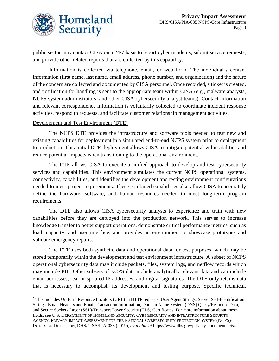

public sector may contact CISA on a 24/7 basis to report cyber incidents, submit service requests, and provide other related reports that are collected by this capability.

Information is collected via telephone, email, or web form. The individual's contact information (first name, last name, email address, phone number, and organization) and the nature of the concern are collected and documented by CISA personnel. Once recorded, a ticket is created, and notification for handling is sent to the appropriate team within CISA (e.g., malware analysts, NCPS system administrators, and other CISA cybersecurity analyst teams). Contact information and relevant correspondence information is voluntarily collected to coordinate incident response activities, respond to requests, and facilitate customer relationship management activities.

#### Development and Test Environment (DTE)

 $\overline{a}$ 

The NCPS DTE provides the infrastructure and software tools needed to test new and existing capabilities for deployment in a simulated end-to-end NCPS system prior to deployment to production. This initial DTE deployment allows CISA to mitigate potential vulnerabilities and reduce potential impacts when transitioning to the operational environment.

The DTE allows CISA to execute a unified approach to develop and test cybersecurity services and capabilities. This environment simulates the current NCPS operational systems, connectivity, capabilities, and identifies the development and testing environment configurations needed to meet project requirements. These combined capabilities also allow CISA to accurately define the hardware, software, and human resources needed to meet long-term program requirements.

The DTE also allows CISA cybersecurity analysts to experience and train with new capabilities before they are deployed into the production network. This serves to increase knowledge transfer to better support operations, demonstrate critical performance metrics, such as load, capacity, and user interface, and provides an environment to showcase prototypes and validate emergency repairs.

The DTE uses both synthetic data and operational data for test purposes, which may be stored temporarily within the development and test environment infrastructure. A subset of NCPS operational cybersecurity data may include packets, files, system logs, and netflow records which may include PII.<sup>5</sup> Other subsets of NCPS data include analytically relevant data and can include email addresses, real or spoofed IP addresses, and digital signatures. The DTE only retains data that is necessary to accomplish its development and testing purpose. Specific technical,

<sup>5</sup> This includes Uniform Resource Locators (URL) in HTTP requests, User Agent Strings, Server Self-Identification Strings, Email Headers and Email Transaction Information, Domain Name System (DNS) Query/Response Data, and Secure Sockets Layer (SSL)/Transport Layer Security (TLS) Certificates. For more information about these fields, *see* U.S. DEPARTMENT OF HOMELAND SECURITY, CYBERSECURITY AND INFRASTRUCTURE SECURITY AGENCY, PRIVACY IMPACT ASSESSMENT FOR THE NATIONAL CYBERSECURITY PROTECTION SYSTEM (NCPS)- INTRUSION DETECTION, DHS/CISA/PIA-033 (2019), *available at* [https://www.dhs.gov/privacy-documents-cisa.](https://www.dhs.gov/privacy-documents-cisa)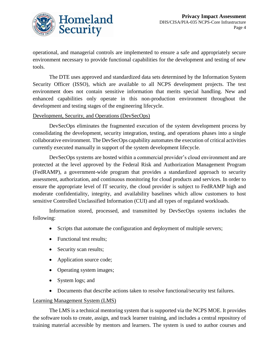

operational, and managerial controls are implemented to ensure a safe and appropriately secure environment necessary to provide functional capabilities for the development and testing of new tools.

The DTE uses approved and standardized data sets determined by the Information System Security Officer (ISSO), which are available to all NCPS development projects. The test environment does not contain sensitive information that merits special handling. New and enhanced capabilities only operate in this non-production environment throughout the development and testing stages of the engineering lifecycle.

#### Development, Security, and Operations (DevSecOps)

DevSecOps eliminates the fragmented execution of the system development process by consolidating the development, security integration, testing, and operations phases into a single collaborative environment. The DevSecOps capability automates the execution of critical activities currently executed manually in support of the system development lifecycle.

DevSecOps systems are hosted within a commercial provider's cloud environment and are protected at the level approved by the Federal Risk and Authorization Management Program (FedRAMP), a government-wide program that provides a standardized approach to security assessment, authorization, and continuous monitoring for cloud products and services. In order to ensure the appropriate level of IT security, the cloud provider is subject to FedRAMP high and moderate confidentiality, integrity, and availability baselines which allow customers to host sensitive Controlled Unclassified Information (CUI) and all types of regulated workloads.

Information stored, processed, and transmitted by DevSecOps systems includes the following:

- Scripts that automate the configuration and deployment of multiple servers;
- Functional test results:
- Security scan results;
- Application source code;
- Operating system images;
- System logs; and
- Documents that describe actions taken to resolve functional/security test failures.

#### Learning Management System (LMS)

The LMS is a technical mentoring system that is supported via the NCPS MOE. It provides the software tools to create, assign, and track learner training, and includes a central repository of training material accessible by mentors and learners. The system is used to author courses and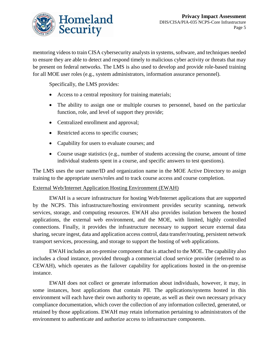

mentoring videos to train CISA cybersecurity analysts in systems, software, and techniques needed to ensure they are able to detect and respond timely to malicious cyber activity or threats that may be present on federal networks. The LMS is also used to develop and provide role-based training for all MOE user roles (e.g., system administrators, information assurance personnel).

Specifically, the LMS provides:

- Access to a central repository for training materials;
- The ability to assign one or multiple courses to personnel, based on the particular function, role, and level of support they provide;
- Centralized enrollment and approval;
- Restricted access to specific courses;
- Capability for users to evaluate courses; and
- Course usage statistics (e.g., number of students accessing the course, amount of time individual students spent in a course, and specific answers to test questions).

The LMS uses the user name/ID and organization name in the MOE Active Directory to assign training to the appropriate users/roles and to track course access and course completion.

#### External Web/Internet Application Hosting Environment (EWAH)

EWAH is a secure infrastructure for hosting Web/Internet applications that are supported by the NCPS. This infrastructure/hosting environment provides security scanning, network services, storage, and computing resources. EWAH also provides isolation between the hosted applications, the external web environment, and the MOE, with limited, highly controlled connections. Finally, it provides the infrastructure necessary to support secure external data sharing, secure ingest, data and application access control, data transfer/routing, persistent network transport services, processing, and storage to support the hosting of web applications.

EWAH includes an on-premise component that is attached to the MOE. The capability also includes a cloud instance, provided through a commercial cloud service provider (referred to as CEWAH), which operates as the failover capability for applications hosted in the on-premise instance.

EWAH does not collect or generate information about individuals, however, it may, in some instances, host applications that contain PII. The applications/systems hosted in this environment will each have their own authority to operate, as well as their own necessary privacy compliance documentation, which cover the collection of any information collected, generated, or retained by those applications. EWAH may retain information pertaining to administrators of the environment to authenticate and authorize access to infrastructure components.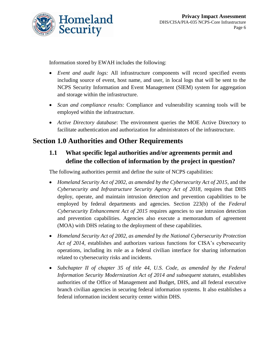

Information stored by EWAH includes the following:

- *Event and audit logs:* All infrastructure components will record specified events including source of event, host name, and user, in local logs that will be sent to the NCPS Security Information and Event Management (SIEM) system for aggregation and storage within the infrastructure.
- *Scan and compliance results*: Compliance and vulnerability scanning tools will be employed within the infrastructure.
- *Active Directory database*: The environment queries the MOE Active Directory to facilitate authentication and authorization for administrators of the infrastructure.

# **Section 1.0 Authorities and Other Requirements**

#### **1.1 What specific legal authorities and/or agreements permit and define the collection of information by the project in question?**

The following authorities permit and define the suite of NCPS capabilities:

- *Homeland Security Act of 2002, as amended by the Cybersecurity Act of 2015,* and the *Cybersecurity and Infrastructure Security Agency Act of 2018*, requires that DHS deploy, operate, and maintain intrusion detection and prevention capabilities to be employed by federal departments and agencies. Section 223(b) of the *Federal Cybersecurity Enhancement Act of 2015* requires agencies to use intrusion detection and prevention capabilities. Agencies also execute a memorandum of agreement (MOA) with DHS relating to the deployment of these capabilities.
- *Homeland Security Act of 2002, as amended by the National Cybersecurity Protection Act of 2014*, establishes and authorizes various functions for CISA's cybersecurity operations, including its role as a federal civilian interface for sharing information related to cybersecurity risks and incidents.
- Subchapter II of chapter 35 of title 44, U.S. Code, as amended by the Federal *Information Security Modernization Act of 2014 and subsequent statutes,* establishes authorities of the Office of Management and Budget, DHS, and all federal executive branch civilian agencies in securing federal information systems. It also establishes a federal information incident security center within DHS.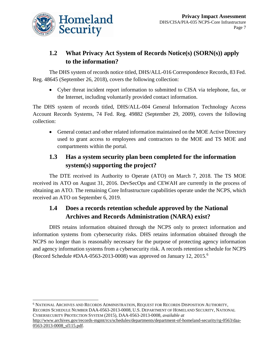

 $\overline{a}$ 

## **1.2 What Privacy Act System of Records Notice(s) (SORN(s)) apply to the information?**

The DHS system of records notice titled, DHS/ALL-016 Correspondence Records, 83 Fed. Reg. 48645 (September 26, 2018), covers the following collection:

• Cyber threat incident report information to submitted to CISA via telephone, fax, or the Internet, including voluntarily provided contact information.

The DHS system of records titled, DHS/ALL-004 General Information Technology Access Account Records Systems, 74 Fed. Reg. 49882 (September 29, 2009), covers the following collection:

• General contact and other related information maintained on the MOE Active Directory used to grant access to employees and contractors to the MOE and TS MOE and compartments within the portal.

#### **1.3 Has a system security plan been completed for the information system(s) supporting the project?**

The DTE received its Authority to Operate (ATO) on March 7, 2018. The TS MOE received its ATO on August 31, 2016. DevSecOps and CEWAH are currently in the process of obtaining an ATO. The remaining Core Infrastructure capabilities operate under the NCPS, which received an ATO on September 6, 2019.

#### **1.4 Does a records retention schedule approved by the National Archives and Records Administration (NARA) exist?**

DHS retains information obtained through the NCPS only to protect information and information systems from cybersecurity risks. DHS retains information obtained through the NCPS no longer than is reasonably necessary for the purpose of protecting agency information and agency information systems from a cybersecurity risk. A records retention schedule for NCPS (Record Schedule #DAA-0563-2013-0008) was approved on January 12, 2015.<sup>6</sup>

<sup>6</sup> NATIONAL ARCHIVES AND RECORDS ADMINISTRATION, REQUEST FOR RECORDS DISPOSITION AUTHORITY, RECORDS SCHEDULE NUMBER DAA-0563-2013-0008, U.S. DEPARTMENT OF HOMELAND SECURITY, NATIONAL CYBERSECURITY PROTECTION SYSTEM (2015), DAA-0563-2013-0008, *available at* [http://www.archives.gov/records-mgmt/rcs/schedules/departments/department-of-homeland-security/rg-0563/daa-](http://www.archives.gov/records-mgmt/rcs/schedules/departments/department-of-homeland-security/rg-0563/daa-0563-2013-0008_sf115.pdf)[0563-2013-0008\\_sf115.pdf.](http://www.archives.gov/records-mgmt/rcs/schedules/departments/department-of-homeland-security/rg-0563/daa-0563-2013-0008_sf115.pdf)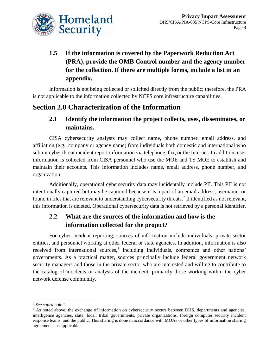

# **1.5 If the information is covered by the Paperwork Reduction Act (PRA), provide the OMB Control number and the agency number for the collection. If there are multiple forms, include a list in an appendix.**

Information is not being collected or solicited directly from the public; therefore, the PRA is not applicable to the information collected by NCPS core infrastructure capabilities.

## **Section 2.0 Characterization of the Information**

#### **2.1 Identify the information the project collects, uses, disseminates, or maintains.**

CISA cybersecurity analysts may collect name, phone number, email address, and affiliation (e.g., company or agency name) from individuals both domestic and international who submit cyber threat incident report information via telephone, fax, or the Internet. In addition, user information is collected from CISA personnel who use the MOE and TS MOE to establish and maintain their accounts. This information includes name, email address, phone number, and organization.

Additionally, operational cybersecurity data may incidentally include PII. This PII is not intentionally captured but may be captured because it is a part of an email address, username, or found in files that are relevant to understanding cybersecurity threats.<sup>7</sup> If identified as not relevant, this information is deleted. Operational cybersecurity data is not retrieved by a personal identifier.

#### **2.2 What are the sources of the information and how is the information collected for the project?**

For cyber incident reporting, sources of information include individuals, private sector entities, and personnel working at other federal or state agencies. In addition, information is also received from international sources,<sup>8</sup> including individuals, companies and other nations' governments. As a practical matter, sources principally include federal government network security managers and those in the private sector who are interested and willing to contribute to the catalog of incidents or analysis of the incident, primarily those working within the cyber network defense community.

 $\overline{a}$ 

<sup>7</sup> *See supra* note 2.

<sup>&</sup>lt;sup>8</sup> As noted above, the exchange of information on cybersecurity occurs between DHS, departments and agencies, intelligence agencies, state, local, tribal governments, private organizations, foreign computer security incident response teams, and the public. This sharing is done in accordance with MOAs or other types of information sharing agreements, as applicable.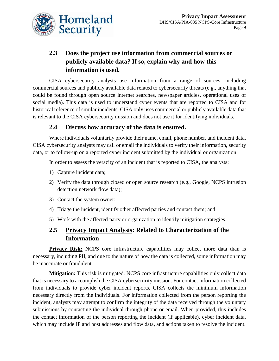

# **2.3 Does the project use information from commercial sources or publicly available data? If so, explain why and how this information is used.**

CISA cybersecurity analysts use information from a range of sources, including commercial sources and publicly available data related to cybersecurity threats (e.g., anything that could be found through open source internet searches, newspaper articles, operational uses of social media). This data is used to understand cyber events that are reported to CISA and for historical reference of similar incidents. CISA only uses commercial or publicly available data that is relevant to the CISA cybersecurity mission and does not use it for identifying individuals.

#### **2.4 Discuss how accuracy of the data is ensured.**

Where individuals voluntarily provide their name, email, phone number, and incident data, CISA cybersecurity analysts may call or email the individuals to verify their information, security data, or to follow-up on a reported cyber incident submitted by the individual or organization.

In order to assess the veracity of an incident that is reported to CISA, the analysts:

- 1) Capture incident data;
- 2) Verify the data through closed or open source research (e.g., Google, NCPS intrusion detection network flow data);
- 3) Contact the system owner;
- 4) Triage the incident, identify other affected parties and contact them; and
- 5) Work with the affected party or organization to identify mitigation strategies.

#### **2.5 Privacy Impact Analysis: Related to Characterization of the Information**

**Privacy Risk:** NCPS core infrastructure capabilities may collect more data than is necessary, including PII, and due to the nature of how the data is collected, some information may be inaccurate or fraudulent.

**Mitigation:** This risk is mitigated. NCPS core infrastructure capabilities only collect data that is necessary to accomplish the CISA cybersecurity mission. For contact information collected from individuals to provide cyber incident reports, CISA collects the minimum information necessary directly from the individuals. For information collected from the person reporting the incident, analysts may attempt to confirm the integrity of the data received through the voluntary submissions by contacting the individual through phone or email. When provided, this includes the contact information of the person reporting the incident (if applicable), cyber incident data, which may include IP and host addresses and flow data, and actions taken to resolve the incident.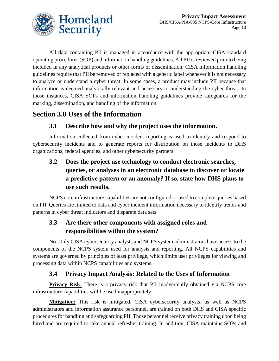

All data containing PII is managed in accordance with the appropriate CISA standard operating procedures (SOP) and information handling guidelines. All PII is reviewed prior to being included in any analytical products or other forms of dissemination. CISA information handling guidelines require that PII be removed or replaced with a generic label whenever it is not necessary to analyze or understand a cyber threat. In some cases, a product may include PII because that information is deemed analytically relevant and necessary to understanding the cyber threat. In those instances, CISA SOPs and information handling guidelines provide safeguards for the marking, dissemination, and handling of the information.

# **Section 3.0 Uses of the Information**

#### **3.1 Describe how and why the project uses the information.**

Information collected from cyber incident reporting is used to identify and respond to cybersecurity incidents and to generate reports for distribution on those incidents to DHS organizations, federal agencies, and other cybersecurity partners.

# **3.2 Does the project use technology to conduct electronic searches, queries, or analyses in an electronic database to discover or locate a predictive pattern or an anomaly? If so, state how DHS plans to use such results.**

NCPS core infrastructure capabilities are not configured or used to complete queries based on PII. Queries are limited to data and cyber incident information necessary to identify trends and patterns in cyber threat indicators and disparate data sets.

#### **3.3 Are there other components with assigned roles and responsibilities within the system?**

No. Only CISA cybersecurity analysts and NCPS system administrators have access to the components of the NCPS system used for analysis and reporting. All NCPS capabilities and systems are governed by principles of least privilege, which limits user privileges for viewing and processing data within NCPS capabilities and systems.

#### **3.4 Privacy Impact Analysis: Related to the Uses of Information**

**Privacy Risk:** There is a privacy risk that PII inadvertently obtained via NCPS core infrastructure capabilities will be used inappropriately.

**Mitigation:** This risk is mitigated. CISA cybersecurity analysts, as well as NCPS administrators and information assurance personnel, are trained on both DHS and CISA specific procedures for handling and safeguarding PII. Those personnel receive privacy training upon being hired and are required to take annual refresher training. In addition, CISA maintains SOPs and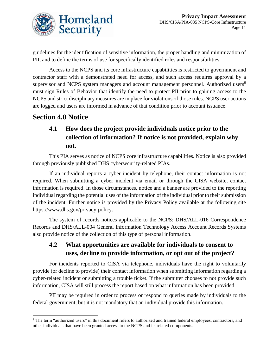

guidelines for the identification of sensitive information, the proper handling and minimization of PII, and to define the terms of use for specifically identified roles and responsibilities.

Access to the NCPS and its core infrastructure capabilities is restricted to government and contractor staff with a demonstrated need for access, and such access requires approval by a supervisor and NCPS system managers and account management personnel. Authorized users<sup>9</sup> must sign Rules of Behavior that identify the need to protect PII prior to gaining access to the NCPS and strict disciplinary measures are in place for violations of those rules. NCPS user actions are logged and users are informed in advance of that condition prior to account issuance.

## **Section 4.0 Notice**

 $\overline{a}$ 

#### **4.1 How does the project provide individuals notice prior to the collection of information? If notice is not provided, explain why not.**

This PIA serves as notice of NCPS core infrastructure capabilities. Notice is also provided through previously published DHS cybersecurity-related PIAs.

If an individual reports a cyber incident by telephone, their contact information is not required. When submitting a cyber incident via email or through the CISA website, contact information is required. In those circumstances, notice and a banner are provided to the reporting individual regarding the potential uses of the information of the individual prior to their submission of the incident. Further notice is provided by the Privacy Policy available at the following site [https://www.dhs.gov/privacy-policy.](https://www.dhs.gov/privacy-policy)

The system of records notices applicable to the NCPS: DHS/ALL-016 Correspondence Records and DHS/ALL-004 General Information Technology Access Account Records Systems also provide notice of the collection of this type of personal information.

#### **4.2 What opportunities are available for individuals to consent to uses, decline to provide information, or opt out of the project?**

For incidents reported to CISA via telephone, individuals have the right to voluntarily provide (or decline to provide) their contact information when submitting information regarding a cyber-related incident or submitting a trouble ticket. If the submitter chooses to not provide such information, CISA will still process the report based on what information has been provided.

PII may be required in order to process or respond to queries made by individuals to the federal government, but it is not mandatory that an individual provide this information.

<sup>&</sup>lt;sup>9</sup> The term "authorized users" in this document refers to authorized and trained federal employees, contractors, and other individuals that have been granted access to the NCPS and its related components.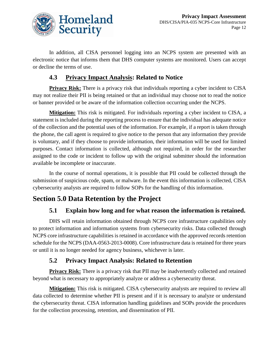

In addition, all CISA personnel logging into an NCPS system are presented with an electronic notice that informs them that DHS computer systems are monitored. Users can accept or decline the terms of use.

#### **4.3 Privacy Impact Analysis: Related to Notice**

**Privacy Risk:** There is a privacy risk that individuals reporting a cyber incident to CISA may not realize their PII is being retained or that an individual may choose not to read the notice or banner provided or be aware of the information collection occurring under the NCPS.

**Mitigation:** This risk is mitigated. For individuals reporting a cyber incident to CISA, a statement is included during the reporting process to ensure that the individual has adequate notice of the collection and the potential uses of the information. For example, if a report is taken through the phone, the call agent is required to give notice to the person that any information they provide is voluntary, and if they choose to provide information, their information will be used for limited purposes. Contact information is collected, although not required, in order for the researcher assigned to the code or incident to follow up with the original submitter should the information available be incomplete or inaccurate.

In the course of normal operations, it is possible that PII could be collected through the submission of suspicious code, spam, or malware. In the event this information is collected, CISA cybersecurity analysts are required to follow SOPs for the handling of this information.

# **Section 5.0 Data Retention by the Project**

#### **5.1 Explain how long and for what reason the information is retained.**

DHS will retain information obtained through NCPS core infrastructure capabilities only to protect information and information systems from cybersecurity risks. Data collected through NCPS core infrastructure capabilities is retained in accordance with the approved records retention schedule for the NCPS (DAA-0563-2013-0008). Core infrastructure data is retained for three years or until it is no longer needed for agency business, whichever is later.

#### **5.2 Privacy Impact Analysis: Related to Retention**

**Privacy Risk:** There is a privacy risk that PII may be inadvertently collected and retained beyond what is necessary to appropriately analyze or address a cybersecurity threat.

**Mitigation:** This risk is mitigated. CISA cybersecurity analysts are required to review all data collected to determine whether PII is present and if it is necessary to analyze or understand the cybersecurity threat. CISA information handling guidelines and SOPs provide the procedures for the collection processing, retention, and dissemination of PII.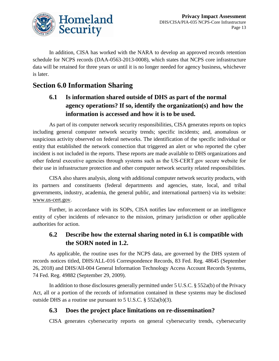

In addition, CISA has worked with the NARA to develop an approved records retention schedule for NCPS records (DAA-0563-2013-0008), which states that NCPS core infrastructure data will be retained for three years or until it is no longer needed for agency business, whichever is later.

# **Section 6.0 Information Sharing**

## **6.1 Is information shared outside of DHS as part of the normal agency operations? If so, identify the organization(s) and how the information is accessed and how it is to be used.**

As part of its computer network security responsibilities, CISA generates reports on topics including general computer network security trends; specific incidents; and, anomalous or suspicious activity observed on federal networks. The identification of the specific individual or entity that established the network connection that triggered an alert or who reported the cyber incident is not included in the reports. These reports are made available to DHS organizations and other federal executive agencies through systems such as the US‐CERT.gov secure website for their use in infrastructure protection and other computer network security related responsibilities.

CISA also shares analysis, along with additional computer network security products, with its partners and constituents (federal departments and agencies, state, local, and tribal governments, industry, academia, the general public, and international partners) via its website: [www.us-cert.gov.](http://www.us-cert.gov/)

Further, in accordance with its SOPs, CISA notifies law enforcement or an intelligence entity of cyber incidents of relevance to the mission, primary jurisdiction or other applicable authorities for action.

#### **6.2 Describe how the external sharing noted in 6.1 is compatible with the SORN noted in 1.2.**

As applicable, the routine uses for the NCPS data, are governed by the DHS system of records notices titled, DHS/ALL-016 Correspondence Records, 83 Fed. Reg. 48645 (September 26, 2018) and DHS/All-004 General Information Technology Access Account Records Systems, 74 Fed. Reg. 49882 (September 29, 2009).

In addition to those disclosures generally permitted under 5 U.S.C. § 552a(b) of the Privacy Act, all or a portion of the records of information contained in these systems may be disclosed outside DHS as a routine use pursuant to 5 U.S.C. § 552a(b)(3).

#### **6.3 Does the project place limitations on re-dissemination?**

CISA generates cybersecurity reports on general cybersecurity trends, cybersecurity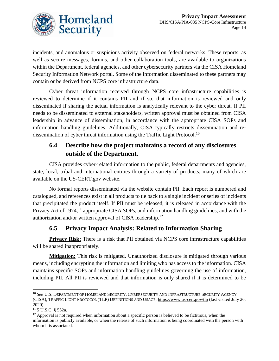

incidents, and anomalous or suspicious activity observed on federal networks. These reports, as well as secure messages, forums, and other collaboration tools, are available to organizations within the Department, federal agencies, and other cybersecurity partners via the CISA Homeland Security Information Network portal. Some of the information disseminated to these partners may contain or be derived from NCPS core infrastructure data.

Cyber threat information received through NCPS core infrastructure capabilities is reviewed to determine if it contains PII and if so, that information is reviewed and only disseminated if sharing the actual information is analytically relevant to the cyber threat. If PII needs to be disseminated to external stakeholders, written approval must be obtained from CISA leadership in advance of dissemination, in accordance with the appropriate CISA SOPs and information handling guidelines. Additionally, CISA typically restricts dissemination and redissemination of cyber threat information using the Traffic Light Protocol.<sup>10</sup>

#### **6.4 Describe how the project maintains a record of any disclosures outside of the Department.**

CISA provides cyber-related information to the public, federal departments and agencies, state, local, tribal and international entities through a variety of products, many of which are available on the US-CERT.gov website.

No formal reports disseminated via the website contain PII. Each report is numbered and catalogued, and references exist in all products to tie back to a single incident or series of incidents that precipitated the product itself. If PII must be released, it is released in accordance with the Privacy Act of 1974,<sup>11</sup> appropriate CISA SOPs, and information handling guidelines, and with the authorization and/or written approval of CISA leadership.<sup>12</sup>

#### **6.5 Privacy Impact Analysis: Related to Information Sharing**

**Privacy Risk:** There is a risk that PII obtained via NCPS core infrastructure capabilities will be shared inappropriately.

**Mitigation:** This risk is mitigated. Unauthorized disclosure is mitigated through various means, including encrypting the information and limiting who has access to the information. CISA maintains specific SOPs and information handling guidelines governing the use of information, including PII. All PII is reviewed and that information is only shared if it is determined to be

l <sup>10</sup> *See* U.S. DEPARTMENT OF HOMELAND SECURITY, CYBERSECURITY AND INFRASTRUCTURE SECURITY AGENCY (CISA), TRAFFIC LIGHT PROTOCOL (TLP) DEFINITIONS AND USAGE, <https://www.us-cert.gov/tlp> (last visited July 26, 2020).

<sup>11</sup> 5 U.S.C. § 552a.

 $12$  Approval is not required when information about a specific person is believed to be fictitious, when the information is publicly available, or when the release of such information is being coordinated with the person with whom it is associated.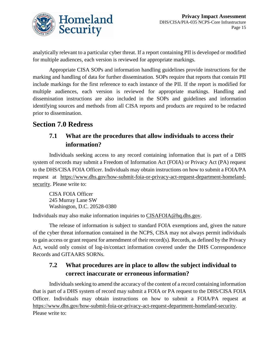

analytically relevant to a particular cyber threat. If a report containing PII is developed or modified for multiple audiences, each version is reviewed for appropriate markings.

Appropriate CISA SOPs and information handling guidelines provide instructions for the marking and handling of data for further dissemination. SOPs require that reports that contain PII include markings for the first reference to each instance of the PII. If the report is modified for multiple audiences, each version is reviewed for appropriate markings. Handling and dissemination instructions are also included in the SOPs and guidelines and information identifying sources and methods from all CISA reports and products are required to be redacted prior to dissemination.

# **Section 7.0 Redress**

#### **7.1 What are the procedures that allow individuals to access their information?**

Individuals seeking access to any record containing information that is part of a DHS system of records may submit a Freedom of Information Act (FOIA) or Privacy Act (PA) request to the DHS/CISA FOIA Officer. Individuals may obtain instructions on how to submit a FOIA/PA request at [https://www.dhs.gov/how-submit-foia-or-privacy-act-request-department-homeland](https://www.dhs.gov/how-submit-foia-or-privacy-act-request-department-homeland-security)[security.](https://www.dhs.gov/how-submit-foia-or-privacy-act-request-department-homeland-security) Please write to:

CISA FOIA Officer 245 Murray Lane SW Washington, D.C. 20528-0380

Individuals may also make information inquiries to [CISAFOIA@hq.dhs.gov.](mailto:CISAFOIA@hq.dhs.gov)

The release of information is subject to standard FOIA exemptions and, given the nature of the cyber threat information contained in the NCPS, CISA may not always permit individuals to gain access or grant request for amendment of their record(s). Records, as defined by the Privacy Act, would only consist of log-in/contact information covered under the DHS Correspondence Records and GITAARS SORNs.

#### **7.2 What procedures are in place to allow the subject individual to correct inaccurate or erroneous information?**

Individuals seeking to amend the accuracy of the content of a record containing information that is part of a DHS system of record may submit a FOIA or PA request to the DHS/CISA FOIA Officer. Individuals may obtain instructions on how to submit a FOIA/PA request at [https://www.dhs.gov/how-submit-foia-or-privacy-act-request-department-homeland-security.](https://www.dhs.gov/how-submit-foia-or-privacy-act-request-department-homeland-security) Please write to: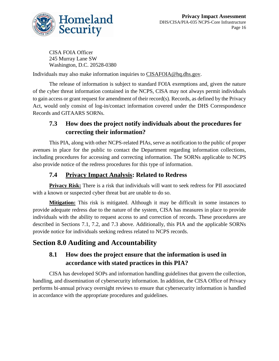

CISA FOIA Officer 245 Murray Lane SW Washington, D.C. 20528-0380

Individuals may also make information inquiries to [CISAFOIA@hq.dhs.gov.](mailto:CISAFOIA@hq.dhs.gov)

The release of information is subject to standard FOIA exemptions and, given the nature of the cyber threat information contained in the NCPS, CISA may not always permit individuals to gain access or grant request for amendment of their record(s). Records, as defined by the Privacy Act, would only consist of log-in/contact information covered under the DHS Correspondence Records and GITAARS SORNs.

## **7.3 How does the project notify individuals about the procedures for correcting their information?**

This PIA, along with other NCPS-related PIAs, serve as notification to the public of proper avenues in place for the public to contact the Department regarding information collections, including procedures for accessing and correcting information. The SORNs applicable to NCPS also provide notice of the redress procedures for this type of information.

#### **7.4 Privacy Impact Analysis: Related to Redress**

**Privacy Risk:** There is a risk that individuals will want to seek redress for PII associated with a known or suspected cyber threat but are unable to do so.

**Mitigation:** This risk is mitigated. Although it may be difficult in some instances to provide adequate redress due to the nature of the system, CISA has measures in place to provide individuals with the ability to request access to and correction of records. These procedures are described in Sections 7.1, 7.2, and 7.3 above. Additionally, this PIA and the applicable SORNs provide notice for individuals seeking redress related to NCPS records.

## **Section 8.0 Auditing and Accountability**

#### **8.1 How does the project ensure that the information is used in accordance with stated practices in this PIA?**

CISA has developed SOPs and information handling guidelines that govern the collection, handling, and dissemination of cybersecurity information. In addition, the CISA Office of Privacy performs bi-annual privacy oversight reviews to ensure that cybersecurity information is handled in accordance with the appropriate procedures and guidelines.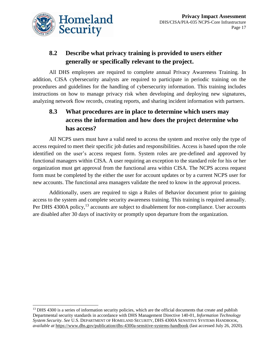

#### **8.2 Describe what privacy training is provided to users either generally or specifically relevant to the project.**

All DHS employees are required to complete annual Privacy Awareness Training. In addition, CISA cybersecurity analysts are required to participate in periodic training on the procedures and guidelines for the handling of cybersecurity information. This training includes instructions on how to manage privacy risk when developing and deploying new signatures, analyzing network flow records, creating reports, and sharing incident information with partners.

#### **8.3 What procedures are in place to determine which users may access the information and how does the project determine who has access?**

All NCPS users must have a valid need to access the system and receive only the type of access required to meet their specific job duties and responsibilities. Access is based upon the role identified on the user's access request form. System roles are pre-defined and approved by functional managers within CISA. A user requiring an exception to the standard role for his or her organization must get approval from the functional area within CISA. The NCPS access request form must be completed by the either the user for account updates or by a current NCPS user for new accounts. The functional area managers validate the need to know in the approval process.

Additionally, users are required to sign a Rules of Behavior document prior to gaining access to the system and complete security awareness training. This training is required annually. Per DHS 4300A policy,<sup>13</sup> accounts are subject to disablement for non-compliance. User accounts are disabled after 30 days of inactivity or promptly upon departure from the organization.

 $\overline{a}$ <sup>13</sup> DHS 4300 is a series of information security policies, which are the official documents that create and publish Departmental security standards in accordance with DHS Management Directive 140-01, *Information Technology System Security*. *See* U.S. DEPARTMENT OF HOMELAND SECURITY, DHS 4300A SENSITIVE SYSTEMS HANDBOOK, *available at* <https://www.dhs.gov/publication/dhs-4300a-sensitive-systems-handbook> (last accessed July 26, 2020).